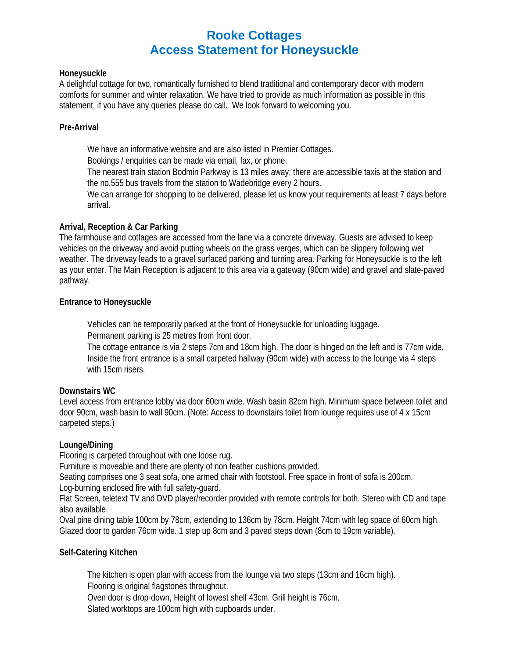# **Rooke Cottages Access Statement for Honeysuckle**

## **Honeysuckle**

A delightful cottage for two, romantically furnished to blend traditional and contemporary decor with modern comforts for summer and winter relaxation. We have tried to provide as much information as possible in this statement, if you have any queries please do call. We look forward to welcoming you.

## **Pre-Arrival**

We have an informative website and are also listed in Premier Cottages.

Bookings / enquiries can be made via email, fax, or phone.

The nearest train station Bodmin Parkway is 13 miles away; there are accessible taxis at the station and the no.555 bus travels from the station to Wadebridge every 2 hours.

We can arrange for shopping to be delivered, please let us know your requirements at least 7 days before arrival.

# **Arrival, Reception & Car Parking**

The farmhouse and cottages are accessed from the lane via a concrete driveway. Guests are advised to keep vehicles on the driveway and avoid putting wheels on the grass verges, which can be slippery following wet weather. The driveway leads to a gravel surfaced parking and turning area. Parking for Honeysuckle is to the left as your enter. The Main Reception is adjacent to this area via a gateway (90cm wide) and gravel and slate-paved pathway.

## **Entrance to Honeysuckle**

Vehicles can be temporarily parked at the front of Honeysuckle for unloading luggage. Permanent parking is 25 metres from front door.

The cottage entrance is via 2 steps 7cm and 18cm high. The door is hinged on the left and is 77cm wide. Inside the front entrance is a small carpeted hallway (90cm wide) with access to the lounge via 4 steps with 15cm risers.

# **Downstairs WC**

Level access from entrance lobby via door 60cm wide. Wash basin 82cm high. Minimum space between toilet and door 90cm, wash basin to wall 90cm. (Note: Access to downstairs toilet from lounge requires use of 4 x 15cm carpeted steps.)

# **Lounge/Dining**

Flooring is carpeted throughout with one loose rug.

Furniture is moveable and there are plenty of non feather cushions provided.

Seating comprises one 3 seat sofa, one armed chair with footstool. Free space in front of sofa is 200cm.

Log-burning enclosed fire with full safety-guard.

Flat Screen, teletext TV and DVD player/recorder provided with remote controls for both. Stereo with CD and tape also available.

Oval pine dining table 100cm by 78cm, extending to 136cm by 78cm. Height 74cm with leg space of 60cm high. Glazed door to garden 76cm wide. 1 step up 8cm and 3 paved steps down (8cm to 19cm variable).

# **Self-Catering Kitchen**

The kitchen is open plan with access from the lounge via two steps (13cm and 16cm high). Flooring is original flagstones throughout. Oven door is drop-down, Height of lowest shelf 43cm. Grill height is 76cm. Slated worktops are 100cm high with cupboards under.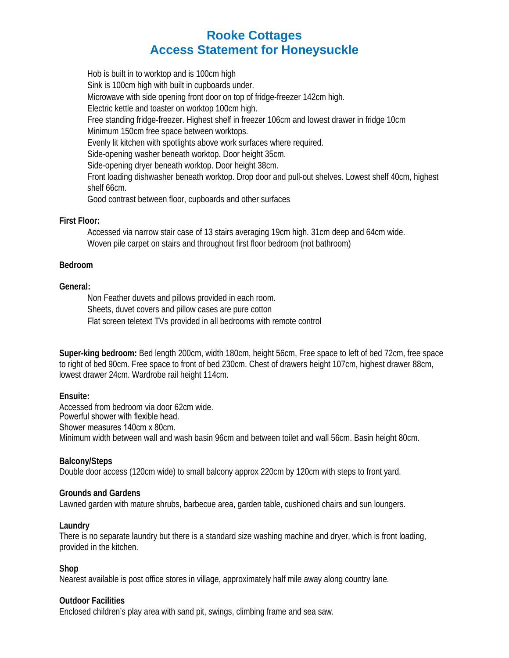# **Rooke Cottages Access Statement for Honeysuckle**

Hob is built in to worktop and is 100cm high Sink is 100cm high with built in cupboards under. Microwave with side opening front door on top of fridge-freezer 142cm high. Electric kettle and toaster on worktop 100cm high. Free standing fridge-freezer. Highest shelf in freezer 106cm and lowest drawer in fridge 10cm Minimum 150cm free space between worktops. Evenly lit kitchen with spotlights above work surfaces where required. Side-opening washer beneath worktop. Door height 35cm. Side-opening dryer beneath worktop. Door height 38cm. Front loading dishwasher beneath worktop. Drop door and pull-out shelves. Lowest shelf 40cm, highest shelf 66cm. Good contrast between floor, cupboards and other surfaces

## **First Floor:**

Accessed via narrow stair case of 13 stairs averaging 19cm high. 31cm deep and 64cm wide. Woven pile carpet on stairs and throughout first floor bedroom (not bathroom)

## **Bedroom**

## **General:**

Non Feather duvets and pillows provided in each room. Sheets, duvet covers and pillow cases are pure cotton Flat screen teletext TVs provided in all bedrooms with remote control

**Super-king bedroom:** Bed length 200cm, width 180cm, height 56cm, Free space to left of bed 72cm, free space to right of bed 90cm. Free space to front of bed 230cm. Chest of drawers height 107cm, highest drawer 88cm, lowest drawer 24cm. Wardrobe rail height 114cm.

# **Ensuite:**

Accessed from bedroom via door 62cm wide. Powerful shower with flexible head. Shower measures 140cm x 80cm. Minimum width between wall and wash basin 96cm and between toilet and wall 56cm. Basin height 80cm.

**Balcony/Steps**  Double door access (120cm wide) to small balcony approx 220cm by 120cm with steps to front yard.

#### **Grounds and Gardens**

Lawned garden with mature shrubs, barbecue area, garden table, cushioned chairs and sun loungers.

#### **Laundry**

There is no separate laundry but there is a standard size washing machine and dryer, which is front loading, provided in the kitchen.

# **Shop**

Nearest available is post office stores in village, approximately half mile away along country lane.

#### **Outdoor Facilities**

Enclosed children's play area with sand pit, swings, climbing frame and sea saw.